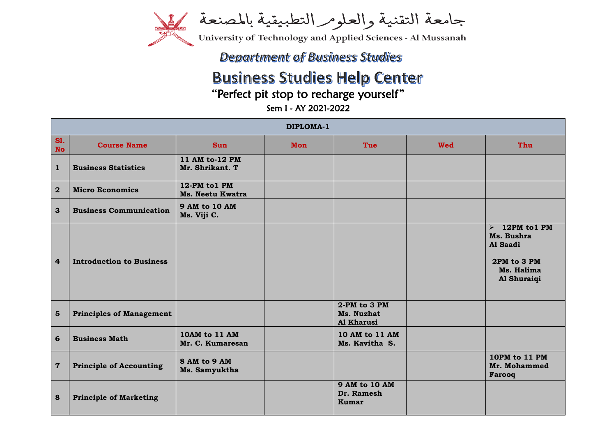

جامعة التقنية والعلومر التطبيقية بالمصنعة

University of Technology and Applied Sciences - Al Mussanah

## **Department of Business Studies**

## **Business Studies Help Center**

"Perfect pit stop to recharge yourself"

Sem I - AY 2021-2022

| DIPLOMA-1               |                                 |                                          |     |                                                    |            |                                                                                            |
|-------------------------|---------------------------------|------------------------------------------|-----|----------------------------------------------------|------------|--------------------------------------------------------------------------------------------|
| <b>S1.</b><br><b>No</b> | <b>Course Name</b>              | <b>Sun</b>                               | Mon | Tue                                                | <b>Wed</b> | Thu                                                                                        |
| $\mathbf{1}$            | <b>Business Statistics</b>      | 11 AM to-12 PM<br>Mr. Shrikant. T        |     |                                                    |            |                                                                                            |
| $\overline{2}$          | <b>Micro Economics</b>          | 12-PM to1 PM<br><b>Ms. Neetu Kwatra</b>  |     |                                                    |            |                                                                                            |
| 3                       | <b>Business Communication</b>   | <b>9 AM to 10 AM</b><br>Ms. Viji C.      |     |                                                    |            |                                                                                            |
| $\overline{4}$          | <b>Introduction to Business</b> |                                          |     |                                                    |            | $\geq 12$ PM to 1 PM<br>Ms. Bushra<br>Al Saadi<br>2PM to 3 PM<br>Ms. Halima<br>Al Shuraiqi |
| $5\phantom{1}$          | <b>Principles of Management</b> |                                          |     | 2-PM to 3 PM<br>Ms. Nuzhat<br><b>Al Kharusi</b>    |            |                                                                                            |
| 6                       | <b>Business Math</b>            | <b>10AM to 11 AM</b><br>Mr. C. Kumaresan |     | 10 AM to 11 AM<br>Ms. Kavitha S.                   |            |                                                                                            |
| $\overline{7}$          | <b>Principle of Accounting</b>  | 8 AM to 9 AM<br>Ms. Samyuktha            |     |                                                    |            | 10PM to 11 PM<br>Mr. Mohammed<br>Farooq                                                    |
| $\boldsymbol{8}$        | <b>Principle of Marketing</b>   |                                          |     | <b>9 AM to 10 AM</b><br>Dr. Ramesh<br><b>Kumar</b> |            |                                                                                            |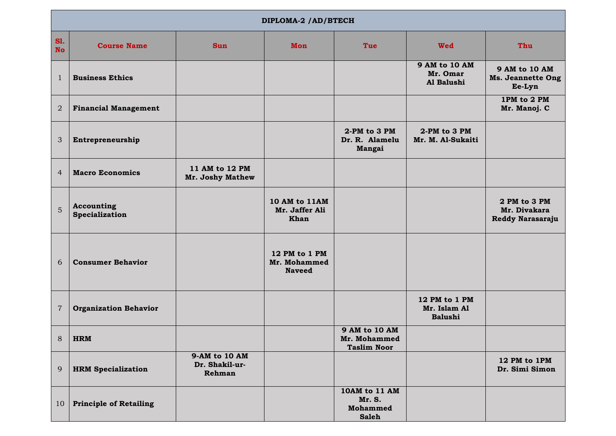| DIPLOMA-2 /AD/BTECH     |                               |                                           |                                                       |                                                            |                                                 |                                                            |
|-------------------------|-------------------------------|-------------------------------------------|-------------------------------------------------------|------------------------------------------------------------|-------------------------------------------------|------------------------------------------------------------|
| <b>S1.</b><br><b>No</b> | <b>Course Name</b>            | <b>Sun</b>                                | <b>Mon</b>                                            | Tue                                                        | <b>Wed</b>                                      | Thu                                                        |
| 1                       | <b>Business Ethics</b>        |                                           |                                                       |                                                            | 9 AM to 10 AM<br>Mr. Omar<br>Al Balushi         | <b>9 AM to 10 AM</b><br><b>Ms. Jeannette Ong</b><br>Ee-Lyn |
| $\overline{2}$          | <b>Financial Management</b>   |                                           |                                                       |                                                            |                                                 | 1PM to 2 PM<br>Mr. Manoj. C                                |
| 3                       | Entrepreneurship              |                                           |                                                       | 2-PM to 3 PM<br>Dr. R. Alamelu<br>Mangai                   | 2-PM to 3 PM<br>Mr. M. Al-Sukaiti               |                                                            |
| $\overline{4}$          | <b>Macro Economics</b>        | 11 AM to 12 PM<br>Mr. Joshy Mathew        |                                                       |                                                            |                                                 |                                                            |
| 5                       | Accounting<br>Specialization  |                                           | <b>10 AM to 11AM</b><br>Mr. Jaffer Ali<br><b>Khan</b> |                                                            |                                                 | 2 PM to 3 PM<br>Mr. Divakara<br>Reddy Narasaraju           |
| 6                       | <b>Consumer Behavior</b>      |                                           | 12 PM to 1 PM<br>Mr. Mohammed<br><b>Naveed</b>        |                                                            |                                                 |                                                            |
| $\sqrt{7}$              | <b>Organization Behavior</b>  |                                           |                                                       |                                                            | 12 PM to 1 PM<br>Mr. Islam Al<br><b>Balushi</b> |                                                            |
|                         | 8   <b>HRM</b>                |                                           |                                                       | 9 AM to 10 AM<br>Mr. Mohammed<br><b>Taslim Noor</b>        |                                                 |                                                            |
| 9                       | <b>HRM Specialization</b>     | 9-AM to 10 AM<br>Dr. Shakil-ur-<br>Rehman |                                                       |                                                            |                                                 | 12 PM to 1PM<br>Dr. Simi Simon                             |
| 10                      | <b>Principle of Retailing</b> |                                           |                                                       | 10AM to 11 AM<br>Mr. S.<br><b>Mohammed</b><br><b>Saleh</b> |                                                 |                                                            |